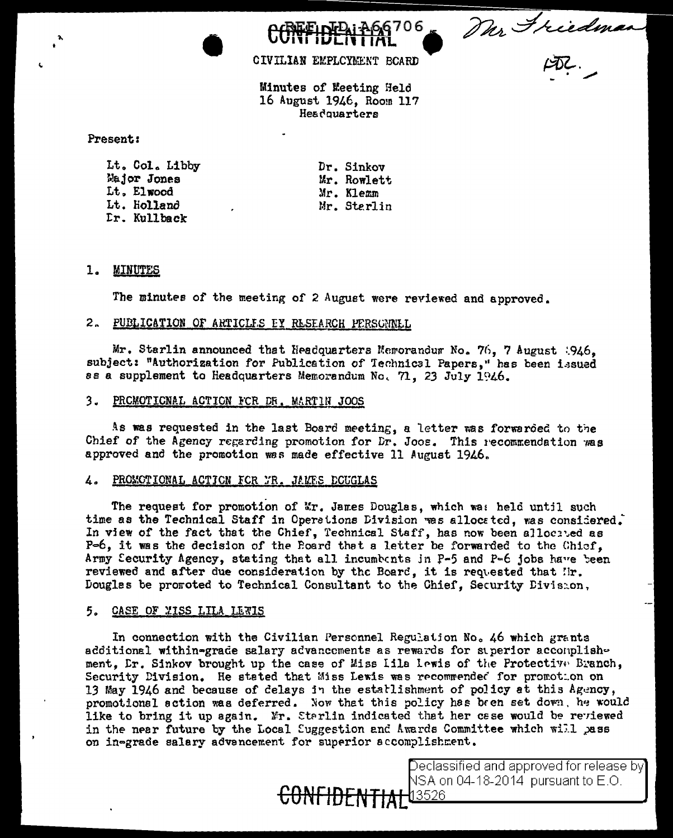706 Dur Friedman

CIVILIAN EMPLOYMENT BOARD

Minutes of Meeting Held 16 August 1946, Room 117 Headquarters

Present:

Lt. Col. Libby Major Jones Lt. Elwood Lt. Holland Dr. Kullback

Dr. Sinkov Mr. Rowlett Mr. Klemm Mr. Sterlin

# 1. MINUTES

The minutes of the meeting of 2 August were reviewed and approved.

# 2. PUBLICATION OF ARTICLES EY RESEARCH PERSONNEL

Mr. Starlin announced that Headquarters Memorandum No. 76. 7 August 1946. subject: "Authorization for Publication of Technical Papers," has been issued ss a supplement to Headquarters Memorandum No. 71, 23 July 1946.

# 3. PROMOTIONAL ACTION FOR DR. MARTIN JOOS

As was requested in the last Board meeting, a letter was forwarded to the Chief of the Agency regarding promotion for Dr. Joos. This recommendation was approved and the promotion was made effective 11 August 1946.

# 4. PROMOTIONAL ACTION FOR FR. JAMES ECUGLAS

The request for promotion of Mr. James Douglas, which was held until such time as the Technical Staff in Operations Division was allocated, was considered. In view of the fact that the Chief, Technical Staff, has now been allocated as P-6, it was the decision of the Poard that a letter be forwarded to the Chiof, Army Security Agency, stating that all incumbents in P-5 and P-6 jobs have been reviewed and after due consideration by the Board, it is requested that Hr. Douglas be promoted to Technical Consultant to the Chief, Security Division,

# 5. CASE OF WISS LILA LEWIS

In connection with the Civilian Personnel Regulation No. 46 which grants additional within-grade salary advancements as rewards for superior accomplishment, Dr. Sinkov brought up the case of Miss Iila lewis of the Protective Branch, Security Division. He stated that Miss Lewis was recommended for promotion on 13 May 1946 and because of delays in the estatlishment of policy at this Agency, promotional action was deferred. Now that this policy has been set down, he would like to bring it up again. Mr. Starlin indicated that her case would be reviewed in the near future by the Local Suggestion and Awards Committee which will pass on in-grade salary advencement for superior accomplishment.



Declassified and approved for release by $\rceil$ VSA on 04-18-2014 pursuant to E.O.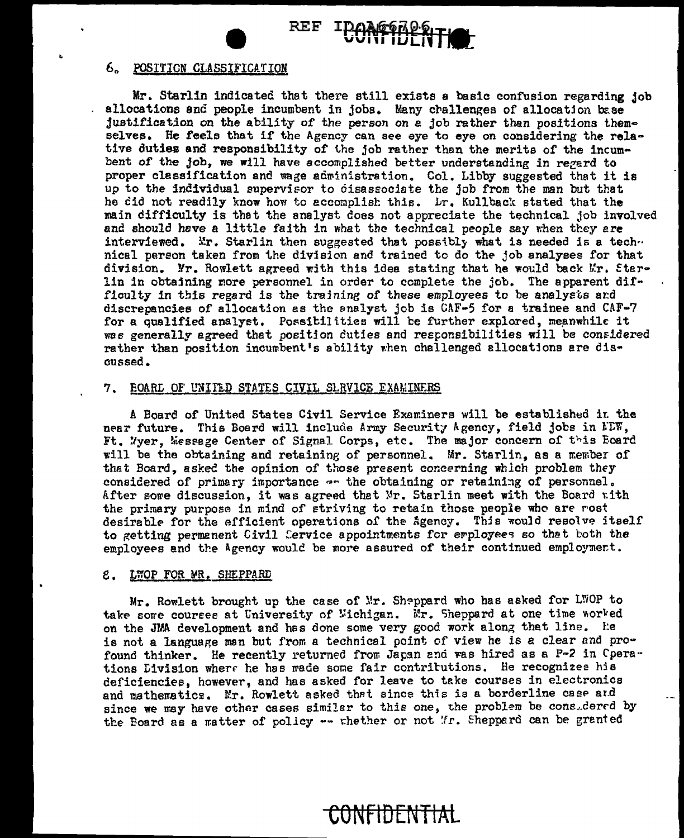REF

# 6. POSITION CLASSIFICATION

Mr. Starlin indicated that there still exists a basic confusion regarding job allocations and people incumbent in jobs. Many challenges of allocation base justification on the ability of the person on a job rather than positions themselves. He feels that if the Agency can see eye to eye on considering the relative duties and responsibility of the job rather than the merits of the incumbent of the job, we will have accomplished better understanding in regard to proper classification and wage administration. Col. Libby suggested that it is up to the individual supervisor to cisassociate the job from the man but that he did not readily know how to accomplish this. Lr. Kullback stated that the main difficulty is that the analyst does not appreciate the technical job involved and should have a little faith in what the technical people say when they are interviewed. Mr. Starlin then suggested that possibly what is needed is a tech. nical person taken from the division and trained to do the job analyses for that division. Nr. Rowlett agreed with this idea stating that he would back Mr. Starlin in obtaining more personnel in order to complete the job. The apparent difficulty in this regard is the training of these employees to be analysts and discrepancies of allocation as the analyst job is  $CAF-5$  for a trainee and  $CAF-7$ for a qualified analyst. Possitilities will be further explored, meanwhile it was generally agreed that position duties and responsibilities will be considered rather than position incumbent's ability when challenged allocations are dis $cussed.$ 

# 7. EOARL OF UNITED STATES CIVIL SLRVICE EXAMINERS

A Board of United States Civil Service Examiners will be established in the near future. This Board will include Army Security Agency, field jobs in KDW, Ft. Wyer, Message Center of Signal Corps, etc. The major concern of this Eoard will be the obtaining and retaining of personnel. Mr. Starlin, as a member of that Board, asked the opinion of those present concerning which problem they considered of primary importance -- the obtaining or retaining of personnel. After some discussion, it was agreed that Mr. Starlin meet with the Board with the primary purpose in mind of striving to retain those people who are rost desirable for the efficient operations of the Agency. This would resolve itself to getting permanent Civil Cervice appointments for employees so that both the employees and the Agency would be more assured of their continued employment.

#### ε. LWOP FOR MR. SHEPPARD

Mr. Rowlett brought up the case of Mr. Sheppard who has asked for LWOP to take sore courses at University of Wichigan. Mr. Sheppard at one time worked on the JMA development and has done some very good work along that line. He is not a language man but from a technical point of view he is a clear and profound thinker. He recently returned from Japan and was hired as a P-2 in Operations Livision where he has made some fair contributions. He recognizes his deficiencies, however, and has asked for leave to take courses in electronics and mathematics. Mr. Rowlett asked that since this is a borderline case and since we may have other cases similar to this one, the problem be consudered by the Board as a matter of policy -- whether or not Mr. Sheppard can be granted

# CONFIDENTIAL